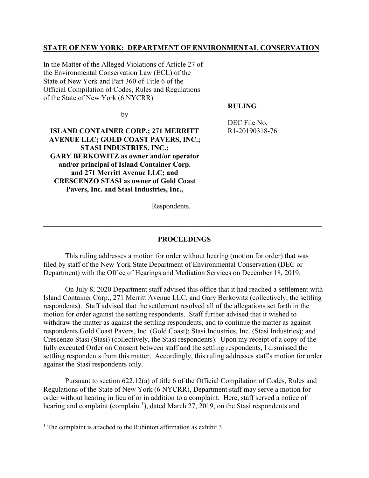# **STATE OF NEW YORK: DEPARTMENT OF ENVIRONMENTAL CONSERVATION**

In the Matter of the Alleged Violations of Article 27 of the Environmental Conservation Law (ECL) of the State of New York and Part 360 of Title 6 of the Official Compilation of Codes, Rules and Regulations of the State of New York (6 NYCRR)

### **RULING**

 $-bv -$ 

DEC File No. R1-20190318-76

**ISLAND CONTAINER CORP.; 271 MERRITT AVENUE LLC; GOLD COAST PAVERS, INC.; STASI INDUSTRIES, INC.; GARY BERKOWITZ as owner and/or operator and/or principal of Island Container Corp. and 271 Merritt Avenue LLC; and CRESCENZO STASI as owner of Gold Coast Pavers, Inc. and Stasi Industries, Inc.,**

Respondents.

#### **PROCEEDINGS**

**\_\_\_\_\_\_\_\_\_\_\_\_\_\_\_\_\_\_\_\_\_\_\_\_\_\_\_\_\_\_\_\_\_\_\_\_\_\_\_\_\_\_\_\_\_\_\_\_\_\_\_\_\_\_\_\_\_\_\_\_\_\_\_\_\_\_\_\_\_\_\_\_\_\_\_\_\_**

This ruling addresses a motion for order without hearing (motion for order) that was filed by staff of the New York State Department of Environmental Conservation (DEC or Department) with the Office of Hearings and Mediation Services on December 18, 2019.

On July 8, 2020 Department staff advised this office that it had reached a settlement with Island Container Corp., 271 Merritt Avenue LLC, and Gary Berkowitz (collectively, the settling respondents). Staff advised that the settlement resolved all of the allegations set forth in the motion for order against the settling respondents. Staff further advised that it wished to withdraw the matter as against the settling respondents, and to continue the matter as against respondents Gold Coast Pavers, Inc. (Gold Coast); Stasi Industries, Inc. (Stasi Industries); and Crescenzo Stasi (Stasi) (collectively, the Stasi respondents). Upon my receipt of a copy of the fully executed Order on Consent between staff and the settling respondents, I dismissed the settling respondents from this matter. Accordingly, this ruling addresses staff's motion for order against the Stasi respondents only.

Pursuant to section 622.12(a) of title 6 of the Official Compilation of Codes, Rules and Regulations of the State of New York (6 NYCRR), Department staff may serve a motion for order without hearing in lieu of or in addition to a complaint. Here, staff served a notice of hearing and complaint (complaint<sup>[1](#page-0-0)</sup>), dated March 27, 2019, on the Stasi respondents and

<span id="page-0-0"></span><sup>&</sup>lt;sup>1</sup> The complaint is attached to the Rubinton affirmation as exhibit 3.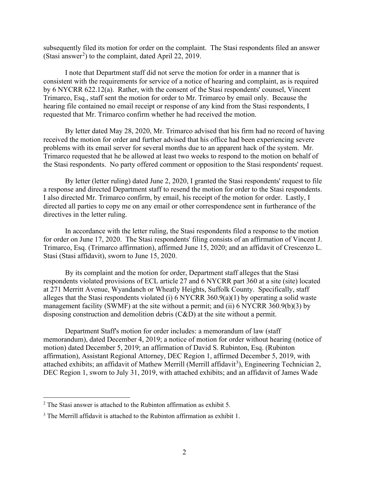subsequently filed its motion for order on the complaint. The Stasi respondents filed an answer (Stasi answer<sup>[2](#page-1-0)</sup>) to the complaint, dated April 22, 2019.

I note that Department staff did not serve the motion for order in a manner that is consistent with the requirements for service of a notice of hearing and complaint, as is required by 6 NYCRR 622.12(a). Rather, with the consent of the Stasi respondents' counsel, Vincent Trimarco, Esq., staff sent the motion for order to Mr. Trimarco by email only. Because the hearing file contained no email receipt or response of any kind from the Stasi respondents, I requested that Mr. Trimarco confirm whether he had received the motion.

By letter dated May 28, 2020, Mr. Trimarco advised that his firm had no record of having received the motion for order and further advised that his office had been experiencing severe problems with its email server for several months due to an apparent hack of the system. Mr. Trimarco requested that he be allowed at least two weeks to respond to the motion on behalf of the Stasi respondents. No party offered comment or opposition to the Stasi respondents' request.

By letter (letter ruling) dated June 2, 2020, I granted the Stasi respondents' request to file a response and directed Department staff to resend the motion for order to the Stasi respondents. I also directed Mr. Trimarco confirm, by email, his receipt of the motion for order. Lastly, I directed all parties to copy me on any email or other correspondence sent in furtherance of the directives in the letter ruling.

In accordance with the letter ruling, the Stasi respondents filed a response to the motion for order on June 17, 2020. The Stasi respondents' filing consists of an affirmation of Vincent J. Trimarco, Esq. (Trimarco affirmation), affirmed June 15, 2020; and an affidavit of Crescenzo L. Stasi (Stasi affidavit), sworn to June 15, 2020.

By its complaint and the motion for order, Department staff alleges that the Stasi respondents violated provisions of ECL article 27 and 6 NYCRR part 360 at a site (site) located at 271 Merritt Avenue, Wyandanch or Wheatly Heights, Suffolk County. Specifically, staff alleges that the Stasi respondents violated (i) 6 NYCRR 360.9(a)(1) by operating a solid waste management facility (SWMF) at the site without a permit; and (ii) 6 NYCRR 360.9(b)(3) by disposing construction and demolition debris (C&D) at the site without a permit.

Department Staff's motion for order includes: a memorandum of law (staff memorandum), dated December 4, 2019; a notice of motion for order without hearing (notice of motion) dated December 5, 2019; an affirmation of David S. Rubinton, Esq. (Rubinton affirmation), Assistant Regional Attorney, DEC Region 1, affirmed December 5, 2019, with attached exhibits; an affidavit of Mathew Merrill (Merrill affidavit<sup>[3](#page-1-1)</sup>), Engineering Technician 2, DEC Region 1, sworn to July 31, 2019, with attached exhibits; and an affidavit of James Wade

<span id="page-1-0"></span><sup>2</sup> The Stasi answer is attached to the Rubinton affirmation as exhibit 5.

<span id="page-1-1"></span> $3$  The Merrill affidavit is attached to the Rubinton affirmation as exhibit 1.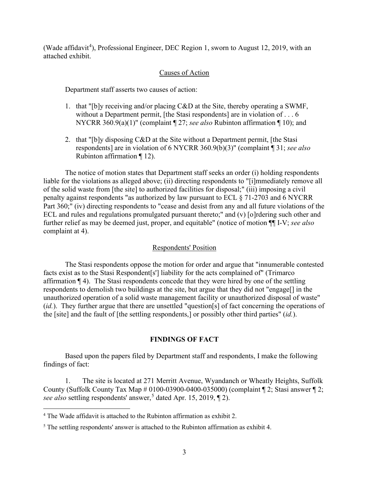(Wade affidavit<sup>[4](#page-2-0)</sup>), Professional Engineer, DEC Region 1, sworn to August 12, 2019, with an attached exhibit.

# Causes of Action

Department staff asserts two causes of action:

- 1. that "[b]y receiving and/or placing C&D at the Site, thereby operating a SWMF, without a Department permit, [the Stasi respondents] are in violation of . . . 6 NYCRR 360.9(a)(1)" (complaint ¶ 27; *see also* Rubinton affirmation ¶ 10); and
- 2. that "[b]y disposing C&D at the Site without a Department permit, [the Stasi respondents] are in violation of 6 NYCRR 360.9(b)(3)" (complaint ¶ 31; *see also* Rubinton affirmation ¶ 12).

The notice of motion states that Department staff seeks an order (i) holding respondents liable for the violations as alleged above; (ii) directing respondents to "[i]mmediately remove all of the solid waste from [the site] to authorized facilities for disposal;" (iii) imposing a civil penalty against respondents "as authorized by law pursuant to ECL § 71-2703 and 6 NYCRR Part 360;" (iv) directing respondents to "cease and desist from any and all future violations of the ECL and rules and regulations promulgated pursuant thereto;" and (v) [o]rdering such other and further relief as may be deemed just, proper, and equitable" (notice of motion ¶¶ I-V; *see also*  complaint at 4).

# Respondents' Position

The Stasi respondents oppose the motion for order and argue that "innumerable contested facts exist as to the Stasi Respondent[s'] liability for the acts complained of" (Trimarco affirmation ¶ 4). The Stasi respondents concede that they were hired by one of the settling respondents to demolish two buildings at the site, but argue that they did not "engage[] in the unauthorized operation of a solid waste management facility or unauthorized disposal of waste" (*id.*). They further argue that there are unsettled "question[s] of fact concerning the operations of the [site] and the fault of [the settling respondents,] or possibly other third parties" (*id.*).

# **FINDINGS OF FACT**

Based upon the papers filed by Department staff and respondents, I make the following findings of fact:

1. The site is located at 271 Merritt Avenue, Wyandanch or Wheatly Heights, Suffolk County (Suffolk County Tax Map # 0100-03900-0400-035000) (complaint ¶ 2; Stasi answer ¶ 2; *see also* settling respondents' answer,<sup>[5](#page-2-1)</sup> dated Apr. 15, 2019, [2].

<span id="page-2-0"></span><sup>4</sup> The Wade affidavit is attached to the Rubinton affirmation as exhibit 2.

<span id="page-2-1"></span><sup>5</sup> The settling respondents' answer is attached to the Rubinton affirmation as exhibit 4.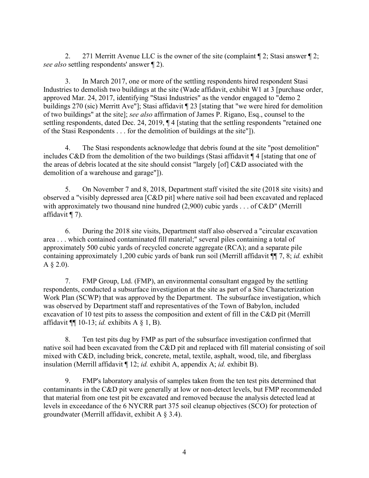2. 271 Merritt Avenue LLC is the owner of the site (complaint ¶ 2; Stasi answer ¶ 2; *see also* settling respondents' answer ¶ 2).

3. In March 2017, one or more of the settling respondents hired respondent Stasi Industries to demolish two buildings at the site (Wade affidavit, exhibit W1 at 3 [purchase order, approved Mar. 24, 2017, identifying "Stasi Industries" as the vendor engaged to "demo 2 buildings 270 (sic) Merritt Ave"]; Stasi affidavit ¶ 23 [stating that "we were hired for demolition of two buildings" at the site]; *see also* affirmation of James P. Rigano, Esq., counsel to the settling respondents, dated Dec. 24, 2019,  $\P$  4 [stating that the settling respondents "retained one of the Stasi Respondents . . . for the demolition of buildings at the site"]).

4. The Stasi respondents acknowledge that debris found at the site "post demolition" includes C&D from the demolition of the two buildings (Stasi affidavit ¶ 4 [stating that one of the areas of debris located at the site should consist "largely [of] C&D associated with the demolition of a warehouse and garage"]).

5. On November 7 and 8, 2018, Department staff visited the site (2018 site visits) and observed a "visibly depressed area [C&D pit] where native soil had been excavated and replaced with approximately two thousand nine hundred (2,900) cubic yards . . . of C&D" (Merrill affidavit ¶ 7).

6. During the 2018 site visits, Department staff also observed a "circular excavation area . . . which contained contaminated fill material;" several piles containing a total of approximately 500 cubic yards of recycled concrete aggregate (RCA); and a separate pile containing approximately 1,200 cubic yards of bank run soil (Merrill affidavit ¶¶ 7, 8; *id.* exhibit  $A \, \S \, 2.0$ ).

7. FMP Group, Ltd. (FMP), an environmental consultant engaged by the settling respondents, conducted a subsurface investigation at the site as part of a Site Characterization Work Plan (SCWP) that was approved by the Department. The subsurface investigation, which was observed by Department staff and representatives of the Town of Babylon, included excavation of 10 test pits to assess the composition and extent of fill in the C&D pit (Merrill affidavit ¶¶ 10-13; *id.* exhibits A § 1, B).

8. Ten test pits dug by FMP as part of the subsurface investigation confirmed that native soil had been excavated from the C&D pit and replaced with fill material consisting of soil mixed with C&D, including brick, concrete, metal, textile, asphalt, wood, tile, and fiberglass insulation (Merrill affidavit ¶ 12; *id.* exhibit A, appendix A; *id.* exhibit B).

9. FMP's laboratory analysis of samples taken from the ten test pits determined that contaminants in the C&D pit were generally at low or non-detect levels, but FMP recommended that material from one test pit be excavated and removed because the analysis detected lead at levels in exceedance of the 6 NYCRR part 375 soil cleanup objectives (SCO) for protection of groundwater (Merrill affidavit, exhibit A § 3.4).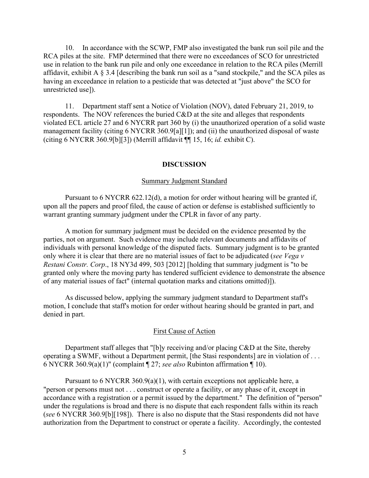10. In accordance with the SCWP, FMP also investigated the bank run soil pile and the RCA piles at the site. FMP determined that there were no exceedances of SCO for unrestricted use in relation to the bank run pile and only one exceedance in relation to the RCA piles (Merrill affidavit, exhibit A § 3.4 [describing the bank run soil as a "sand stockpile," and the SCA piles as having an exceedance in relation to a pesticide that was detected at "just above" the SCO for unrestricted use]).

11. Department staff sent a Notice of Violation (NOV), dated February 21, 2019, to respondents. The NOV references the buried C&D at the site and alleges that respondents violated ECL article 27 and 6 NYCRR part 360 by (i) the unauthorized operation of a solid waste management facility (citing 6 NYCRR 360.9[a][1]); and (ii) the unauthorized disposal of waste (citing 6 NYCRR 360.9[b][3]) (Merrill affidavit ¶¶ 15, 16; *id.* exhibit C).

### **DISCUSSION**

#### Summary Judgment Standard

Pursuant to 6 NYCRR 622.12(d), a motion for order without hearing will be granted if, upon all the papers and proof filed, the cause of action or defense is established sufficiently to warrant granting summary judgment under the CPLR in favor of any party.

A motion for summary judgment must be decided on the evidence presented by the parties, not on argument. Such evidence may include relevant documents and affidavits of individuals with personal knowledge of the disputed facts. Summary judgment is to be granted only where it is clear that there are no material issues of fact to be adjudicated (*see Vega v Restani Constr. Corp*., 18 NY3d 499, 503 [2012] [holding that summary judgment is "to be granted only where the moving party has tendered sufficient evidence to demonstrate the absence of any material issues of fact" (internal quotation marks and citations omitted)]).

As discussed below, applying the summary judgment standard to Department staff's motion, I conclude that staff's motion for order without hearing should be granted in part, and denied in part.

### First Cause of Action

Department staff alleges that "[b]y receiving and/or placing C&D at the Site, thereby operating a SWMF, without a Department permit, [the Stasi respondents] are in violation of . . . 6 NYCRR 360.9(a)(1)" (complaint ¶ 27; *see also* Rubinton affirmation ¶ 10).

Pursuant to 6 NYCRR 360.9(a)(1), with certain exceptions not applicable here, a "person or persons must not . . . construct or operate a facility, or any phase of it, except in accordance with a registration or a permit issued by the department." The definition of "person" under the regulations is broad and there is no dispute that each respondent falls within its reach (*see* 6 NYCRR 360.9[b][198]). There is also no dispute that the Stasi respondents did not have authorization from the Department to construct or operate a facility. Accordingly, the contested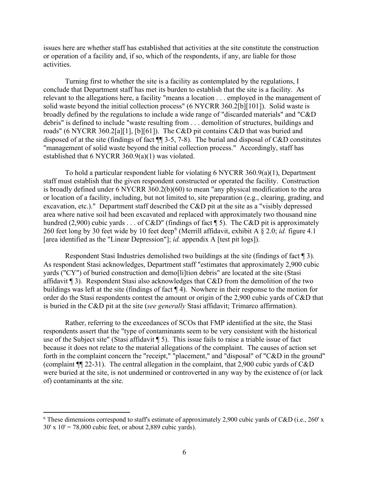issues here are whether staff has established that activities at the site constitute the construction or operation of a facility and, if so, which of the respondents, if any, are liable for those activities.

Turning first to whether the site is a facility as contemplated by the regulations, I conclude that Department staff has met its burden to establish that the site is a facility. As relevant to the allegations here, a facility "means a location . . . employed in the management of solid waste beyond the initial collection process" (6 NYCRR 360.2[b][101]). Solid waste is broadly defined by the regulations to include a wide range of "discarded materials" and "C&D debris" is defined to include "waste resulting from . . . demolition of structures, buildings and roads" (6 NYCRR 360.2[a][1], [b][61]). The C&D pit contains C&D that was buried and disposed of at the site (findings of fact ¶¶ 3-5, 7-8). The burial and disposal of C&D constitutes "management of solid waste beyond the initial collection process." Accordingly, staff has established that 6 NYCRR 360.9(a)(1) was violated.

To hold a particular respondent liable for violating 6 NYCRR 360.9(a)(1), Department staff must establish that the given respondent constructed or operated the facility. Construction is broadly defined under 6 NYCRR 360.2(b)(60) to mean "any physical modification to the area or location of a facility, including, but not limited to, site preparation (e.g., clearing, grading, and excavation, etc.)." Department staff described the C&D pit at the site as a "visibly depressed area where native soil had been excavated and replaced with approximately two thousand nine hundred (2,900) cubic vards . . . of C&D" (findings of fact  $\P$  5). The C&D pit is approximately 2[6](#page-5-0)0 feet long by 30 feet wide by 10 feet deep<sup>6</sup> (Merrill affidavit, exhibit A § 2.0; *id.* figure 4.1 [area identified as the "Linear Depression"]; *id.* appendix A [test pit logs]).

Respondent Stasi Industries demolished two buildings at the site (findings of fact ¶ 3). As respondent Stasi acknowledges, Department staff "estimates that approximately 2,900 cubic yards ("CY") of buried construction and demo[li]tion debris" are located at the site (Stasi affidavit ¶ 3). Respondent Stasi also acknowledges that C&D from the demolition of the two buildings was left at the site (findings of fact ¶ 4). Nowhere in their response to the motion for order do the Stasi respondents contest the amount or origin of the 2,900 cubic yards of C&D that is buried in the C&D pit at the site (*see generally* Stasi affidavit; Trimarco affirmation).

Rather, referring to the exceedances of SCOs that FMP identified at the site, the Stasi respondents assert that the "type of contaminants seem to be very consistent with the historical use of the Subject site" (Stasi affidavit ¶ 5). This issue fails to raise a triable issue of fact because it does not relate to the material allegations of the complaint. The causes of action set forth in the complaint concern the "receipt," "placement," and "disposal" of "C&D in the ground" (complaint ¶¶ 22-31). The central allegation in the complaint, that 2,900 cubic yards of C&D were buried at the site, is not undermined or controverted in any way by the existence of (or lack of) contaminants at the site.

<span id="page-5-0"></span> $6$  These dimensions correspond to staff's estimate of approximately 2,900 cubic yards of C&D (i.e., 260' x 30' x 10' = 78,000 cubic feet, or about 2,889 cubic yards).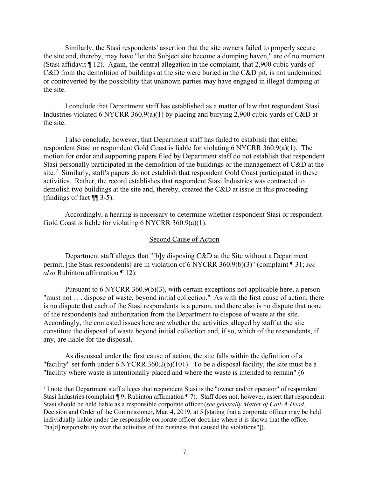Similarly, the Stasi respondents' assertion that the site owners failed to properly secure the site and, thereby, may have "let the Subject site become a dumping haven," are of no moment (Stasi affidavit  $\P$  12). Again, the central allegation in the complaint, that 2,900 cubic vards of C&D from the demolition of buildings at the site were buried in the C&D pit, is not undermined or controverted by the possibility that unknown parties may have engaged in illegal dumping at the site.

I conclude that Department staff has established as a matter of law that respondent Stasi Industries violated 6 NYCRR 360.9(a)(1) by placing and burying 2,900 cubic yards of C&D at the site.

I also conclude, however, that Department staff has failed to establish that either respondent Stasi or respondent Gold Coast is liable for violating 6 NYCRR 360.9(a)(1). The motion for order and supporting papers filed by Department staff do not establish that respondent Stasi personally participated in the demolition of the buildings or the management of C&D at the site.<sup>[7](#page-6-0)</sup> Similarly, staff's papers do not establish that respondent Gold Coast participated in these activities. Rather, the record establishes that respondent Stasi Industries was contracted to demolish two buildings at the site and, thereby, created the C&D at issue in this proceeding (findings of fact ¶¶ 3-5).

Accordingly, a hearing is necessary to determine whether respondent Stasi or respondent Gold Coast is liable for violating 6 NYCRR 360.9(a)(1).

### Second Cause of Action

Department staff alleges that "[b]y disposing C&D at the Site without a Department permit, [the Stasi respondents] are in violation of 6 NYCRR 360.9(b)(3)" (complaint ¶ 31; *see also* Rubinton affirmation ¶ 12).

Pursuant to 6 NYCRR 360.9(b)(3), with certain exceptions not applicable here, a person "must not . . . dispose of waste, beyond initial collection." As with the first cause of action, there is no dispute that each of the Stasi respondents is a person, and there also is no dispute that none of the respondents had authorization from the Department to dispose of waste at the site. Accordingly, the contested issues here are whether the activities alleged by staff at the site constitute the disposal of waste beyond initial collection and, if so, which of the respondents, if any, are liable for the disposal.

As discussed under the first cause of action, the site falls within the definition of a "facility" set forth under 6 NYCRR 360.2(b)(101). To be a disposal facility, the site must be a "facility where waste is intentionally placed and where the waste is intended to remain" (6

<span id="page-6-0"></span> $<sup>7</sup>$  I note that Department staff alleges that respondent Stasi is the "owner and/or operator" of respondent</sup> Stasi Industries (complaint ¶ 9; Rubinton affirmation ¶ 7). Staff does not, however, assert that respondent Stasi should be held liable as a responsible corporate officer (*see generally Matter of Call-A-Head*, Decision and Order of the Commissioner, Mar. 4, 2019, at 5 [stating that a corporate officer may be held individually liable under the responsible corporate officer doctrine where it is shown that the officer "ha[d] responsibility over the activities of the business that caused the violations"]).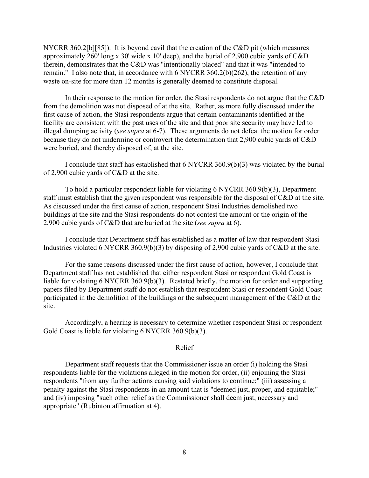NYCRR 360.2[b][85]). It is beyond cavil that the creation of the C&D pit (which measures approximately 260' long x 30' wide x 10' deep), and the burial of 2,900 cubic yards of C&D therein, demonstrates that the C&D was "intentionally placed" and that it was "intended to remain." I also note that, in accordance with 6 NYCRR 360.2(b)(262), the retention of any waste on-site for more than 12 months is generally deemed to constitute disposal.

In their response to the motion for order, the Stasi respondents do not argue that the C&D from the demolition was not disposed of at the site. Rather, as more fully discussed under the first cause of action, the Stasi respondents argue that certain contaminants identified at the facility are consistent with the past uses of the site and that poor site security may have led to illegal dumping activity (*see supra* at 6-7). These arguments do not defeat the motion for order because they do not undermine or controvert the determination that 2,900 cubic yards of C&D were buried, and thereby disposed of, at the site.

I conclude that staff has established that 6 NYCRR 360.9(b)(3) was violated by the burial of 2,900 cubic yards of C&D at the site.

To hold a particular respondent liable for violating 6 NYCRR 360.9(b)(3), Department staff must establish that the given respondent was responsible for the disposal of C&D at the site. As discussed under the first cause of action, respondent Stasi Industries demolished two buildings at the site and the Stasi respondents do not contest the amount or the origin of the 2,900 cubic yards of C&D that are buried at the site (*see supra* at 6).

I conclude that Department staff has established as a matter of law that respondent Stasi Industries violated 6 NYCRR 360.9(b)(3) by disposing of 2,900 cubic yards of C&D at the site.

For the same reasons discussed under the first cause of action, however, I conclude that Department staff has not established that either respondent Stasi or respondent Gold Coast is liable for violating 6 NYCRR 360.9(b)(3). Restated briefly, the motion for order and supporting papers filed by Department staff do not establish that respondent Stasi or respondent Gold Coast participated in the demolition of the buildings or the subsequent management of the C&D at the site.

Accordingly, a hearing is necessary to determine whether respondent Stasi or respondent Gold Coast is liable for violating 6 NYCRR 360.9(b)(3).

## Relief

Department staff requests that the Commissioner issue an order (i) holding the Stasi respondents liable for the violations alleged in the motion for order, (ii) enjoining the Stasi respondents "from any further actions causing said violations to continue;" (iii) assessing a penalty against the Stasi respondents in an amount that is "deemed just, proper, and equitable;" and (iv) imposing "such other relief as the Commissioner shall deem just, necessary and appropriate" (Rubinton affirmation at 4).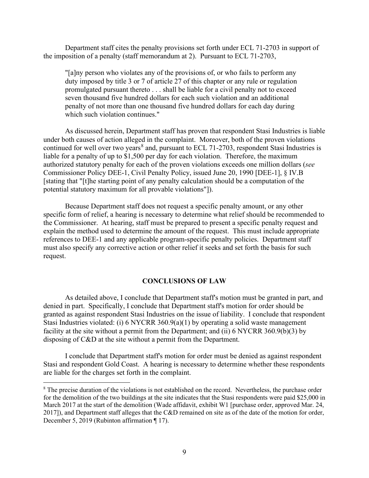Department staff cites the penalty provisions set forth under ECL 71-2703 in support of the imposition of a penalty (staff memorandum at 2). Pursuant to ECL 71-2703,

"[a]ny person who violates any of the provisions of, or who fails to perform any duty imposed by title 3 or 7 of article 27 of this chapter or any rule or regulation promulgated pursuant thereto . . . shall be liable for a civil penalty not to exceed seven thousand five hundred dollars for each such violation and an additional penalty of not more than one thousand five hundred dollars for each day during which such violation continues."

As discussed herein, Department staff has proven that respondent Stasi Industries is liable under both causes of action alleged in the complaint. Moreover, both of the proven violations continued for well over two years<sup>[8](#page-8-0)</sup> and, pursuant to ECL 71-2703, respondent Stasi Industries is liable for a penalty of up to \$1,500 per day for each violation. Therefore, the maximum authorized statutory penalty for each of the proven violations exceeds one million dollars (*see* Commissioner Policy DEE-1, Civil Penalty Policy, issued June 20, 1990 [DEE-1], § IV.B [stating that "[t]he starting point of any penalty calculation should be a computation of the potential statutory maximum for all provable violations"]).

Because Department staff does not request a specific penalty amount, or any other specific form of relief, a hearing is necessary to determine what relief should be recommended to the Commissioner. At hearing, staff must be prepared to present a specific penalty request and explain the method used to determine the amount of the request. This must include appropriate references to DEE-1 and any applicable program-specific penalty policies. Department staff must also specify any corrective action or other relief it seeks and set forth the basis for such request.

### **CONCLUSIONS OF LAW**

As detailed above, I conclude that Department staff's motion must be granted in part, and denied in part. Specifically, I conclude that Department staff's motion for order should be granted as against respondent Stasi Industries on the issue of liability. I conclude that respondent Stasi Industries violated: (i) 6 NYCRR 360.9(a)(1) by operating a solid waste management facility at the site without a permit from the Department; and (ii) 6 NYCRR 360.9(b)(3) by disposing of C&D at the site without a permit from the Department.

I conclude that Department staff's motion for order must be denied as against respondent Stasi and respondent Gold Coast. A hearing is necessary to determine whether these respondents are liable for the charges set forth in the complaint.

<span id="page-8-0"></span><sup>&</sup>lt;sup>8</sup> The precise duration of the violations is not established on the record. Nevertheless, the purchase order for the demolition of the two buildings at the site indicates that the Stasi respondents were paid \$25,000 in March 2017 at the start of the demolition (Wade affidavit, exhibit W1 [purchase order, approved Mar. 24, 2017]), and Department staff alleges that the C&D remained on site as of the date of the motion for order, December 5, 2019 (Rubinton affirmation ¶ 17).